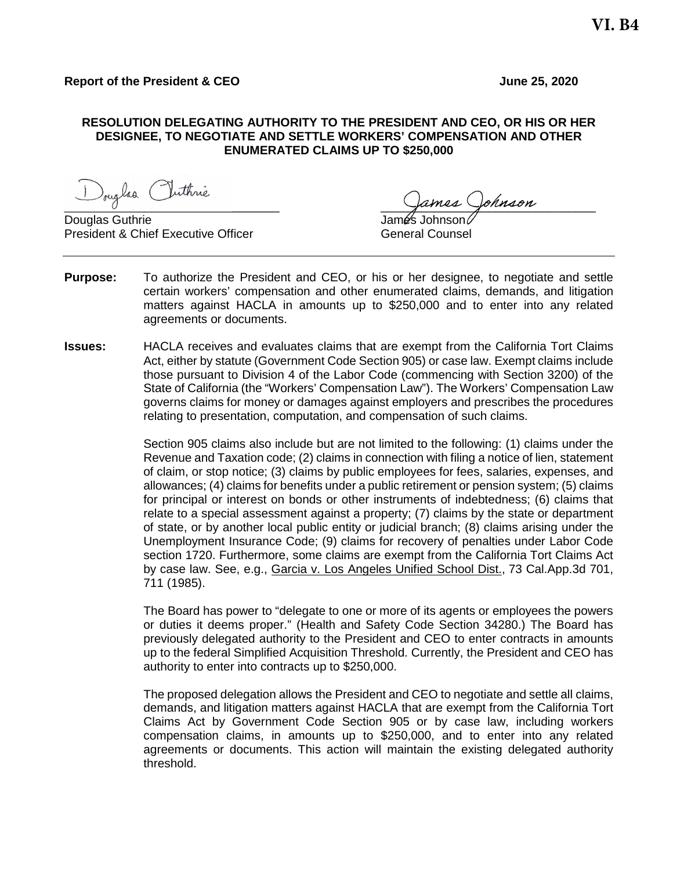#### **RESOLUTION DELEGATING AUTHORITY TO THE PRESIDENT AND CEO, OR HIS OR HER DESIGNEE, TO NEGOTIATE AND SETTLE WORKERS' COMPENSATION AND OTHER ENUMERATED CLAIMS UP TO \$250,000**

Douglas Inthrie

Douglas Guthrie President & Chief Executive Officer General Counsel

- **Purpose:** To authorize the President and CEO, or his or her designee, to negotiate and settle certain workers' compensation and other enumerated claims, demands, and litigation matters against HACLA in amounts up to \$250,000 and to enter into any related agreements or documents.
- **Issues:** HACLA receives and evaluates claims that are exempt from the California Tort Claims Act, either by statute (Government Code Section 905) or case law. Exempt claims include those pursuant to Division 4 of the Labor Code (commencing with Section 3200) of the State of California (the "Workers' Compensation Law"). The Workers' Compensation Law governs claims for money or damages against employers and prescribes the procedures relating to presentation, computation, and compensation of such claims.

Section 905 claims also include but are not limited to the following: (1) claims under the Revenue and Taxation code; (2) claims in connection with filing a notice of lien, statement of claim, or stop notice; (3) claims by public employees for fees, salaries, expenses, and allowances; (4) claims for benefits under a public retirement or pension system; (5) claims for principal or interest on bonds or other instruments of indebtedness; (6) claims that relate to a special assessment against a property; (7) claims by the state or department of state, or by another local public entity or judicial branch; (8) claims arising under the Unemployment Insurance Code; (9) claims for recovery of penalties under Labor Code section 1720. Furthermore, some claims are exempt from the California Tort Claims Act by case law. See, e.g., Garcia v. Los Angeles Unified School Dist., 73 Cal.App.3d 701, 711 (1985).

The Board has power to "delegate to one or more of its agents or employees the powers or duties it deems proper." (Health and Safety Code Section 34280.) The Board has previously delegated authority to the President and CEO to enter contracts in amounts up to the federal Simplified Acquisition Threshold. Currently, the President and CEO has authority to enter into contracts up to \$250,000.

The proposed delegation allows the President and CEO to negotiate and settle all claims, demands, and litigation matters against HACLA that are exempt from the California Tort Claims Act by Government Code Section 905 or by case law, including workers compensation claims, in amounts up to \$250,000, and to enter into any related agreements or documents. This action will maintain the existing delegated authority threshold.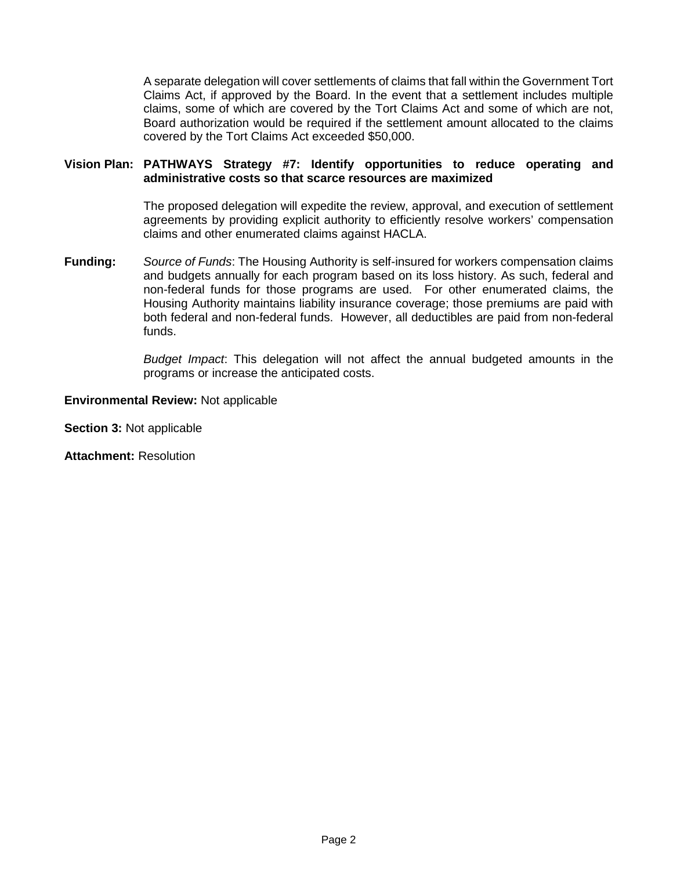A separate delegation will cover settlements of claims that fall within the Government Tort Claims Act, if approved by the Board. In the event that a settlement includes multiple claims, some of which are covered by the Tort Claims Act and some of which are not, Board authorization would be required if the settlement amount allocated to the claims covered by the Tort Claims Act exceeded \$50,000.

## **Vision Plan: PATHWAYS Strategy #7: Identify opportunities to reduce operating and administrative costs so that scarce resources are maximized**

The proposed delegation will expedite the review, approval, and execution of settlement agreements by providing explicit authority to efficiently resolve workers' compensation claims and other enumerated claims against HACLA.

**Funding:** *Source of Funds*: The Housing Authority is self-insured for workers compensation claims and budgets annually for each program based on its loss history. As such, federal and non-federal funds for those programs are used. For other enumerated claims, the Housing Authority maintains liability insurance coverage; those premiums are paid with both federal and non-federal funds. However, all deductibles are paid from non-federal funds.

> *Budget Impact*: This delegation will not affect the annual budgeted amounts in the programs or increase the anticipated costs.

#### **Environmental Review:** Not applicable

**Section 3:** Not applicable

**Attachment:** Resolution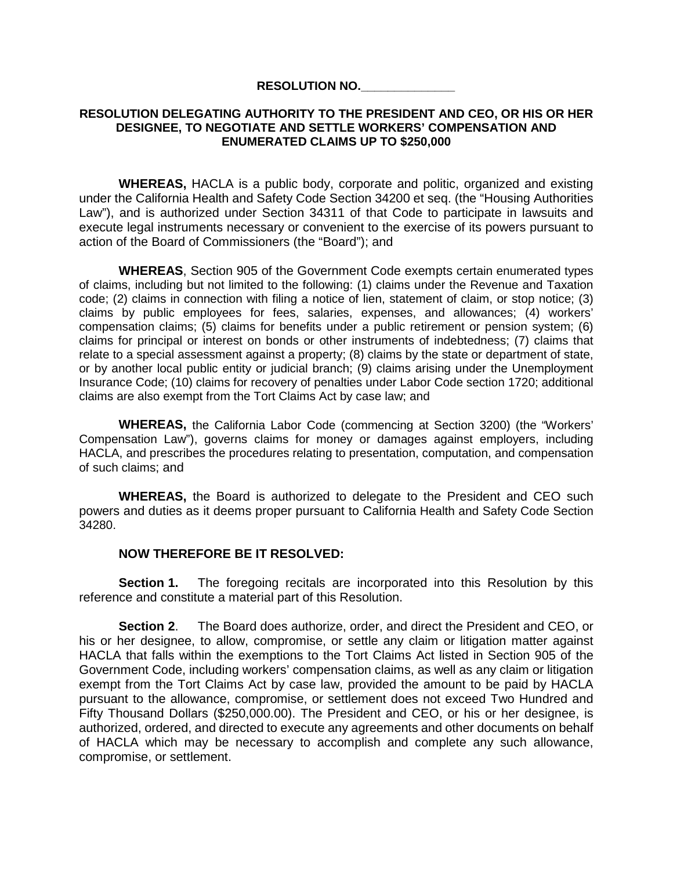# **RESOLUTION NO.\_\_\_\_\_\_\_\_\_\_\_\_\_\_**

# **RESOLUTION DELEGATING AUTHORITY TO THE PRESIDENT AND CEO, OR HIS OR HER DESIGNEE, TO NEGOTIATE AND SETTLE WORKERS' COMPENSATION AND ENUMERATED CLAIMS UP TO \$250,000**

**WHEREAS,** HACLA is a public body, corporate and politic, organized and existing under the California Health and Safety Code Section 34200 et seq. (the "Housing Authorities Law"), and is authorized under Section 34311 of that Code to participate in lawsuits and execute legal instruments necessary or convenient to the exercise of its powers pursuant to action of the Board of Commissioners (the "Board"); and

**WHEREAS**, Section 905 of the Government Code exempts certain enumerated types of claims, including but not limited to the following: (1) claims under the Revenue and Taxation code; (2) claims in connection with filing a notice of lien, statement of claim, or stop notice; (3) claims by public employees for fees, salaries, expenses, and allowances; (4) workers' compensation claims; (5) claims for benefits under a public retirement or pension system; (6) claims for principal or interest on bonds or other instruments of indebtedness; (7) claims that relate to a special assessment against a property; (8) claims by the state or department of state, or by another local public entity or judicial branch; (9) claims arising under the Unemployment Insurance Code; (10) claims for recovery of penalties under Labor Code section 1720; additional claims are also exempt from the Tort Claims Act by case law; and

**WHEREAS,** the California Labor Code (commencing at Section 3200) (the "Workers' Compensation Law"), governs claims for money or damages against employers, including HACLA, and prescribes the procedures relating to presentation, computation, and compensation of such claims; and

**WHEREAS,** the Board is authorized to delegate to the President and CEO such powers and duties as it deems proper pursuant to California Health and Safety Code Section 34280.

# **NOW THEREFORE BE IT RESOLVED:**

**Section 1.** The foregoing recitals are incorporated into this Resolution by this reference and constitute a material part of this Resolution.

**Section 2**. The Board does authorize, order, and direct the President and CEO, or his or her designee, to allow, compromise, or settle any claim or litigation matter against HACLA that falls within the exemptions to the Tort Claims Act listed in Section 905 of the Government Code, including workers' compensation claims, as well as any claim or litigation exempt from the Tort Claims Act by case law, provided the amount to be paid by HACLA pursuant to the allowance, compromise, or settlement does not exceed Two Hundred and Fifty Thousand Dollars (\$250,000.00). The President and CEO, or his or her designee, is authorized, ordered, and directed to execute any agreements and other documents on behalf of HACLA which may be necessary to accomplish and complete any such allowance, compromise, or settlement.